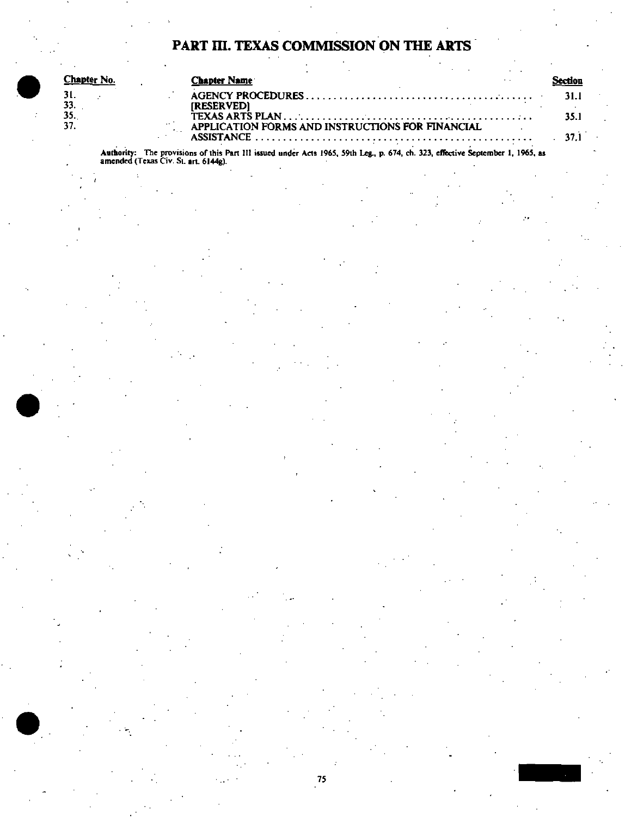# PART III. TEXAS COMMISSION ON THE ARTS

| Application. The considered of this Days III incredibility and IO46, SO4b Lee, in 474 ab. 233, Africano Contemptor 1, 1046, as |
|--------------------------------------------------------------------------------------------------------------------------------|

Authority: The provisions of this Part III issued under Acts 1965, 59th Leg., p. 674, ch. 323, effective September 1, 1965, as<br>amended (Texas Civ. St. art. 6144g).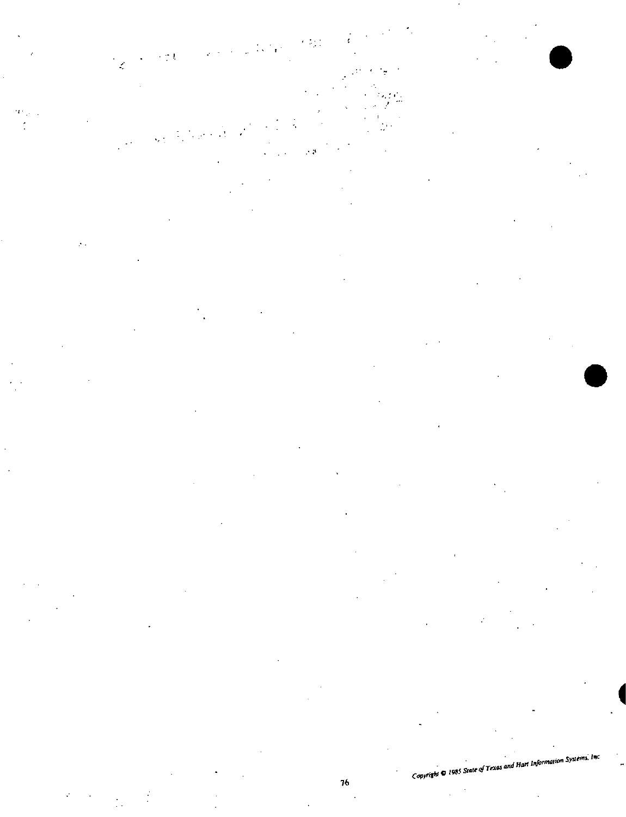$\zeta$ 

Copyright C 1985 State of Texas and Hart Information Systems. Inc.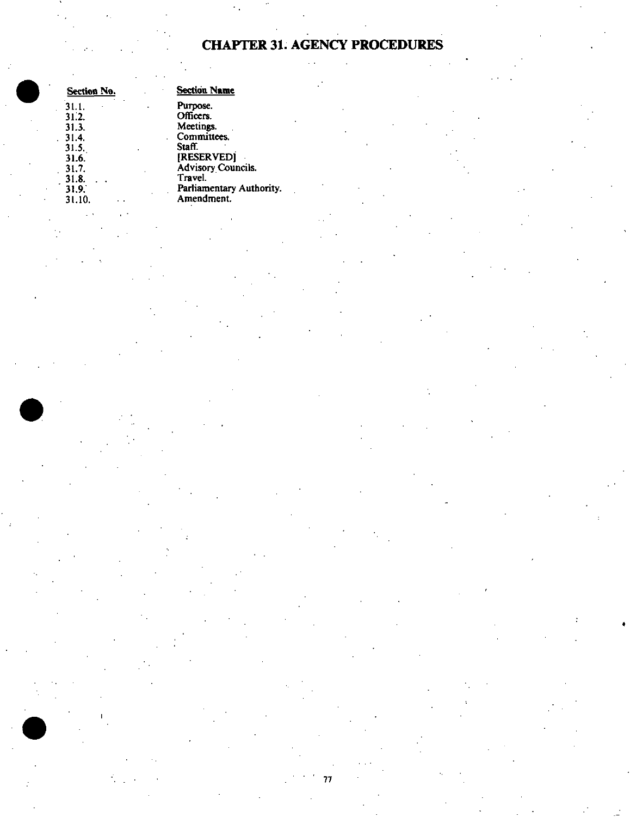# CHAPTER 31. AGENCY PROCEDURES

| Section No. | <b>Section Name</b>       |
|-------------|---------------------------|
| 31.1.       | Purpose.                  |
| 31.2.       | Officers.                 |
| 31.3.       | Meetings.                 |
| 31.4        | Committees.               |
| 31.5.       | Staff.                    |
| 31.6.       | [RESERVED]                |
| 31.7.       | <b>Advisory Councils.</b> |
| 31.8.       | Travel.                   |
| 31.9.       | Parliamentary Authority.  |
| 31.10.      | Amendment.                |







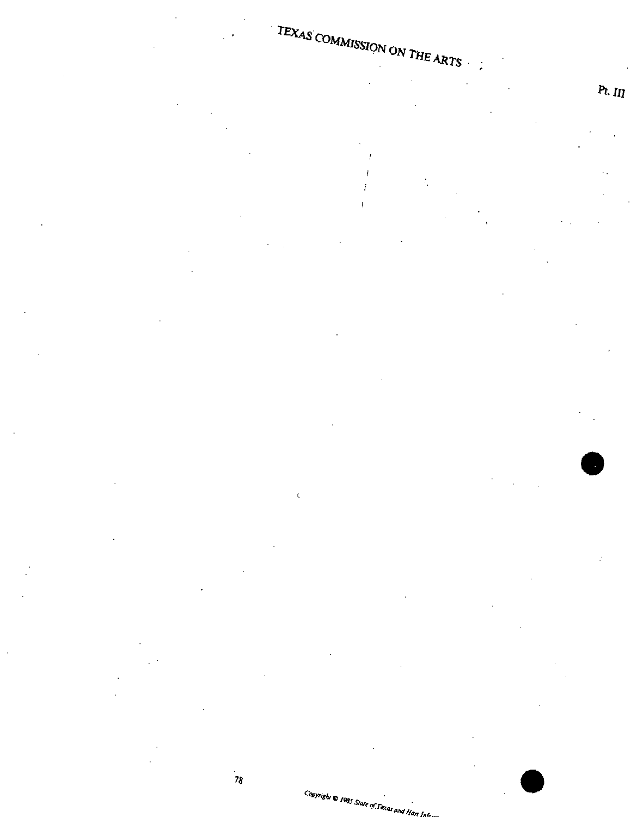J

Copyright © 1985 State of Texas and Han In

 $\overline{\mathbf{3}}$ 

 $P_{t, II}$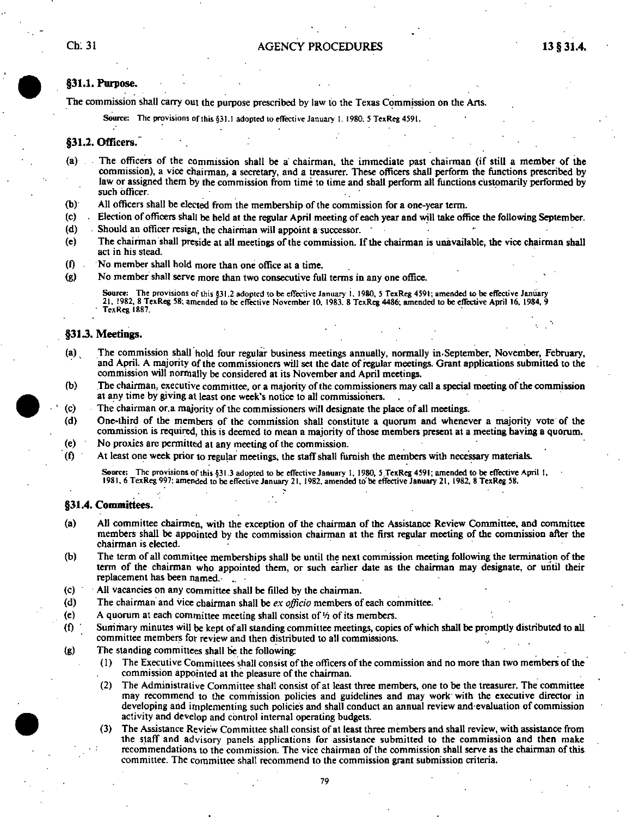### §31.1. Purpose.

The commission shall carry out the purpose prescribed by law to the Texas Commission on the Arts.

Source: The provisions of this §31.1 adopted to effective January 1, 1980, 5 TexReg 4591.

§31.2. Officers."

- (a) . The officers of the commission shall be a chairman, the immediate past chairman (if still a member of the commission), a vice chairman, a secretary, and a treasurer. These officers shall perform the functions prescribed by law or assigned ihem by the commission from lime to time and shall perform all functions customarily performed by such officer.
- (b) All officers shall be elected from the membership of the commission for a one-year term.
- (c) . Election of officers shall be held at the regular April meeting of each year and will lake office the following September.
- (d) Should an officer resign, the chairman will appoint a successor.
- (e) The chairman shall preside at all meetings ofthe commission. If the chairman is unavailable, the vice chairman shall act in his stead.
- $(0)$  No member shall hold more than one office at a time.
- (g) No member shall serve more than two consecutive full terms in any one office.

Source: The provisions of this §31.2 adopted to be effective January 1. 1980. 5 TexReg 4591; amended to be effective January 21. 1982, 8 TexReg 58; amended to be eflective November 10. 1983. 8 TexReg 4486; amended to be effective April 16, 1984, 9 • TexReg 1887.

### §313. Meetings.

- (a) The commission shall hold four regular business meetings annually, normally in'Seplember, November, February, and April. A majority of the commissioners will set the date of regular meetings. Grant applications submitted to the commission will normally be considered at its November and April meetings.
- (b) The chairman, executive committee, or a majority of the commissioners may call a special meeting of the commission at any time by giving at least one week's notice to all commissioners.
- (c) The chairman or a majority of the commissioners will designate the place of all meetings.
- (d) One-third of the members of the commission shaU constitute a quorum and whenever a majority vote of the commission is required, this is deemed to mean a majority of those members present al a meeting having a quorum.
- (e) No proxies are permitted at any meeting of the commission.
- (f) At least one week prior to regular meetings, the staff shall furnish the members with necessary materials.

Source: The provisions of this §31.3 adopted to be effective January 1, 1980, 5.TexReg 4591; amended to be effective April I, 1981. 6 TexReg 997; amended to be effective January 21, 1982, amended to be effective January 21, 1982, 8 TexReg 58.

### §31.4. Committees.

- (a) AH committee chairmen, with the exception of the chairman of the Assistance Review Committee, and committee members shall be appointed by the commission chairman at the first regular meeting of the commission after the chairman is elected.
- (b) The term of all commiitee memberships shall be until the next commission meeting following the termination ofthe term of the chairman who appointed them, or such earlier date as the chairman may designate, or until their replacement has been named.
- (c) All vacancies on any committee shall be filled by the chairman.
- (d) The chairman and vice chairman shall be  $ex$  officio members of each committee.
- (e) A quorum at each committee meeting shall consist of  $\frac{1}{2}$  of its members.
- (f) ' Summary minutes will be kept of all standing committee meetings, copies of which shall be promptly distributed to all committee members for review and then distributed to all commissions.
- (g) The standing committees shall be the following:
	- (1) The Executive Commiitees shall consist ofthe officers ofthe commission and no more than two members ofthe commission appointed at the pleasure of the chairman.
	- (2) The Administrative Committee shall consist of at least three members, one to be the treasurer. The committee may recommend to the commission policies and guidelines and may work with the executive director in developing and implementing such policies and shall conduct an annual review and-evaluation of commission activity and develop and control internal operating budgets.
	- (3) The Assistance Review Committee shall consist of al least three members and shall review, with assistance from the slaff and advisory panels applications for assistance submitted to the commission and then make recommendations to the commission. The vice chairman of the commission shall serve as the chairman of this committee. The committee shall recommend to the commission grant submission criteria.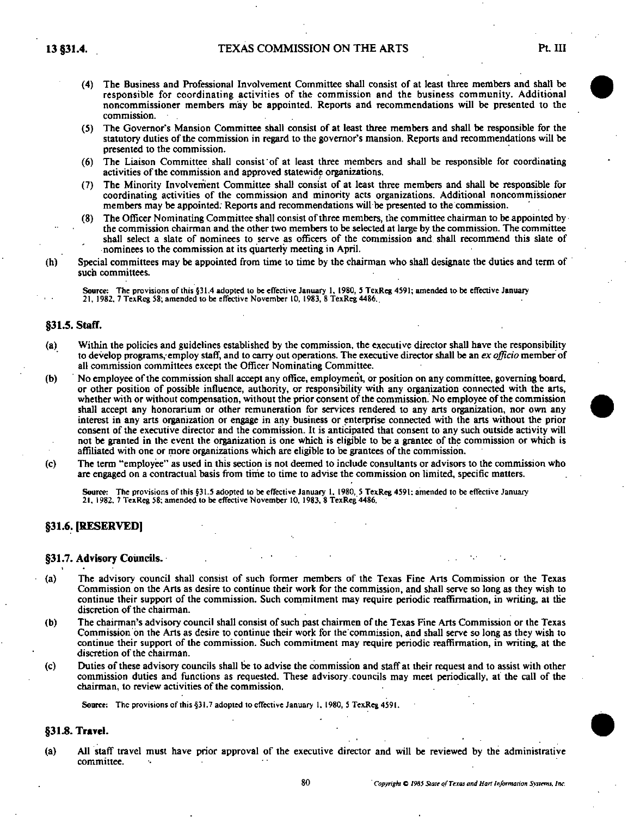- (4) The Business and Professional Involvement Committee shall consist of at least three members and shall be responsible for coordinating activities of the commission and the business community. Additional noncommissioner members may be appointed. Reports and recommendations will be presented to the commission.
- (5) The Governor's Mansion Committee shall consist of at least three members and shall be responsible for the statutory duties of the commission in regard to the governor's mansion. Reports and recommendations will be presented to the commission.
- The Liaison Committee shall consist of at least three members and shall be responsible for coordinating activities of the commission and approved statewide organizations.
- (7) The Minority Involvement Committee shall consist of at least three members and shall be responsible for coordinating activities of the commission and minority acts organizations. Additional noncommissioner members may be appointed. Reports and recommendations will be presented to the commission.
- (8) The Officer Nominating Committee shall consist of three members, the committee chairman to be appointed by the commission chairman and the other two members lo be selected at large by the commission. The committee shall select a slate of nominees to serve as officers of the commission and shall recommend this slate of nominees to the commission at its quarterly meeting in April.
- (h) Special committees may be appointed from time to time by the chairman who shall designate the duties and term of such committees.

Source; The provisions of this §31.4 adopted to be effective January 1, 1980, 5 TexReg 4591; amended to be effective January<br>21, 1982, 7 TexReg 58; amended to be effective November 10, 1983, 8 TexReg 4486.

### §31.5. Staff.

- (a) Within the policies and guidelines established by the commission, the executive director shall have the responsibility to develop programs, employ staff, and to carry out operations. The executive director shall be an ex officio member of all commission committees except the Officer Nominating Committee.
- (b) No employee ofthe commission shall accept any office, employment, or position on any committee, governing board, or other position of possible influence, authority, or responsibility with any organization connected with the arts, whether with or without compensation, without the prior consent of the commission. No employee of the commission shall accept any honorarium or other remuneration for services rendered to any arts organization, nor own any interest in any arts organization or engage in any business or enterprise connected with the arts without the prior consent of the executive director and the commission. It is anticipated that consent to any such outside activity will not be granted in the event the organization is one which is eligible to be a grantee of the commission or which is affiliated with one or more organizations which are eligible to be grantees of the commission.
- (c) The term "employee" as used in this section is not deemed lo include consultants or advisors to the commission who are engaged on a contractual basis from time to time to advise the commission on limited, specific matters.

Source; The provisions of this §31.5 adopted lo be effective January 1, 1980, 5 TexReg 4591; amended to be effective January 21. 1982. 7 TexReg 58; amended to be effective November 10. 1983, 8 TexReg 4486.

### §31.6. [RESERVED]

#### §31.7. Advisory Councils.

- (a) The advisory council shall consist of such former members of the Texas Fine Arts Commission or the Texas Commission on the Arts as desire lo continue their work for the commission, and shall serve so long as they wish to continue their support of the commission. Such commitment may require periodic reaffirmation, in writing, at itie discretion of the chairman.
- (b) The chairman's advisory council shall consist of such past chairmen of the Texas Fine Arts Commission or the Texas Commission on the Arts as desire to continue their work for the commission, and shall serve so long as they wish to continue their support of the commission. Such commitment may require periodic reaffirmation, in writing, at the discretion of the chairman.
- (c) Outies of these advisory councils shall be to advise the commission and staff at their request and to assist with other commission duties and functions as requested. These advisory councils may meet periodically, at the call of the chairman, to review activities of the commission.

Source: The provisions of this §31.7 adopted to effective January 1. 1980, 5 TexReg 4591.

### §31.8. Travel.

(a) All staff travel musl have prior approval of the executive director and will be reviewed by the administrative committee.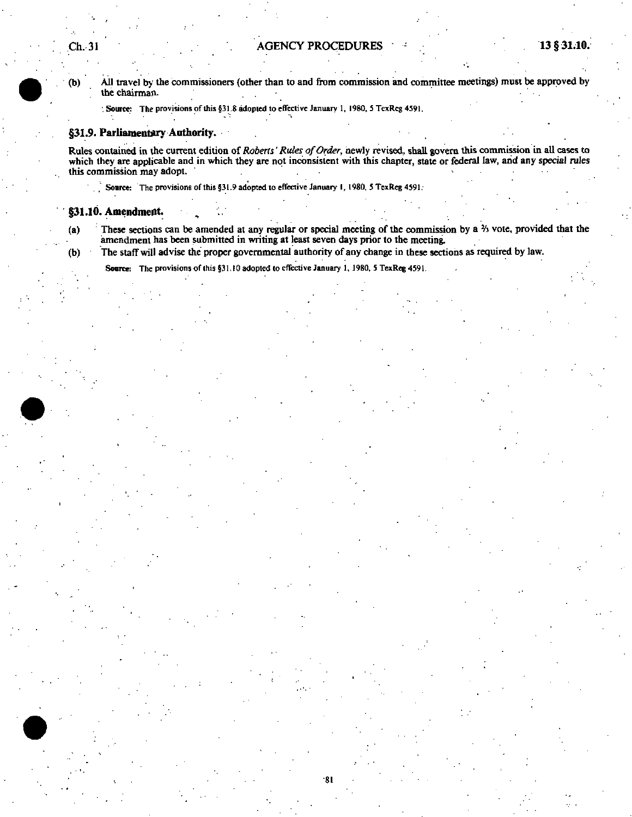(b) All travel by the commissioners (other than to and from commission and committee meetings) must be approved by the chairman.

. Source: The provisions oflhis §31.8 adopied to effective January 1, 1980, S TexReg 4591.

### §31.9. Parliamentary Authority. .

Rules contained in the current edition of Roberts' Rules of Order, newly revised, shall govern this commission in all cases to which they are applicable and in which they are not inconsistent with this chapter, state or federal law, and any special rules this commission may adopt.

Source: The provisions of this §31.9 adopted to effective January 1, 1980, 5 TexReg 4591.

### §31.10. Amendment.

(a) These sections can be amended at any regular or special meeting of the commission by a % vote, provided that the amendment has been submitted in writing at least seven days prior to the meeting.

81

(b) The staff will advise the proper governmental authority of any change in these sections as required by law.

Source: The provisions of this §31.10 adopted to effective January 1, 1980, 5 TexReg 4591.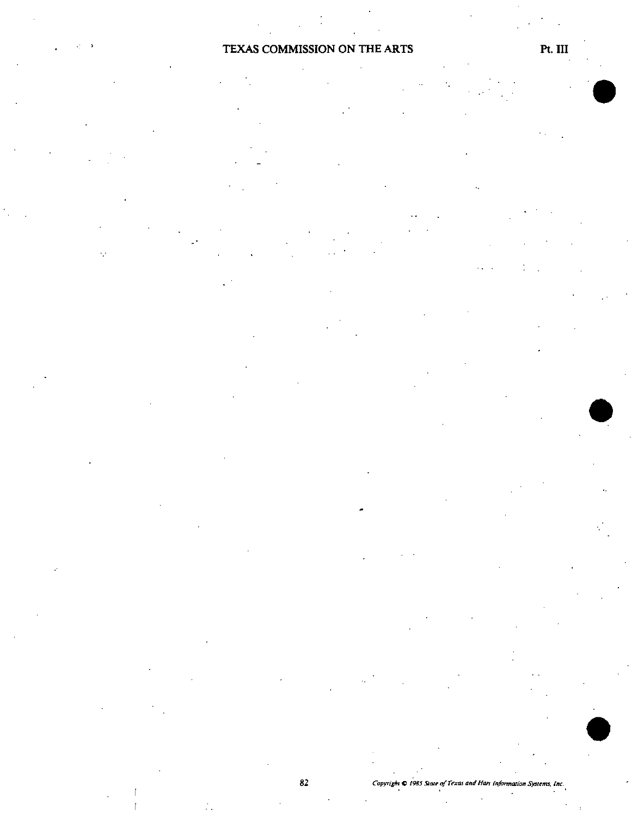# TEXAS COMMISSION ON THE ARTS

 $\frac{1}{2}$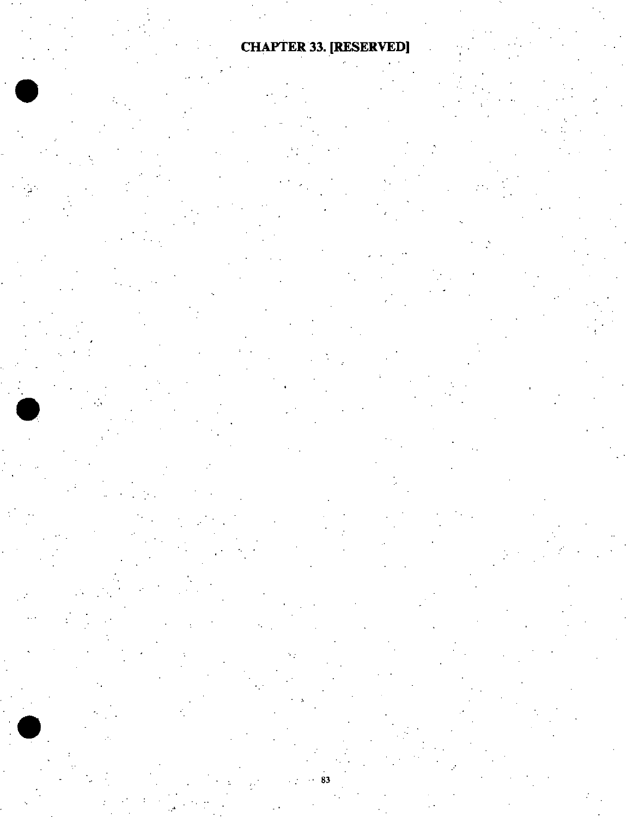# **CHAPTER 33. [RESERVED]**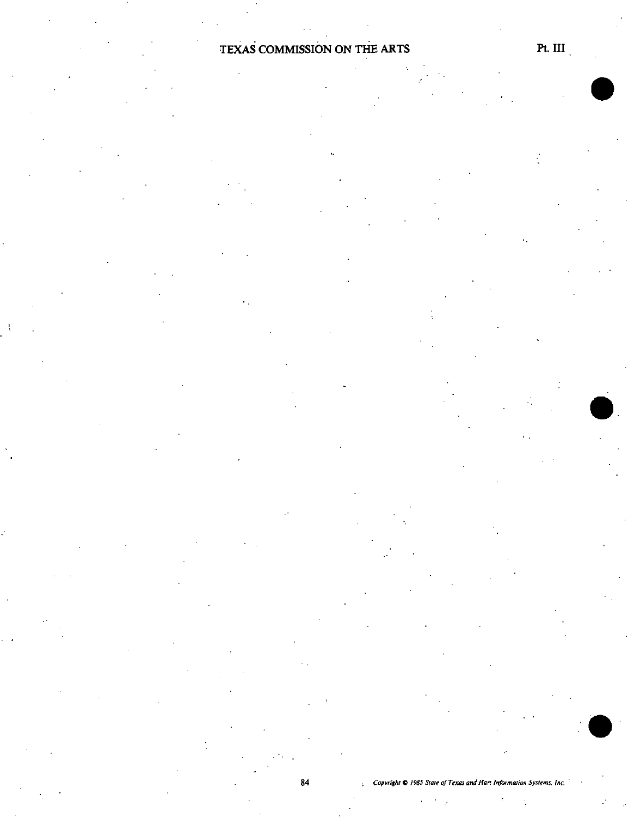$84$ 

Copyright  $\Phi$  1985 State of Texas and Hart Information Systems, Inc.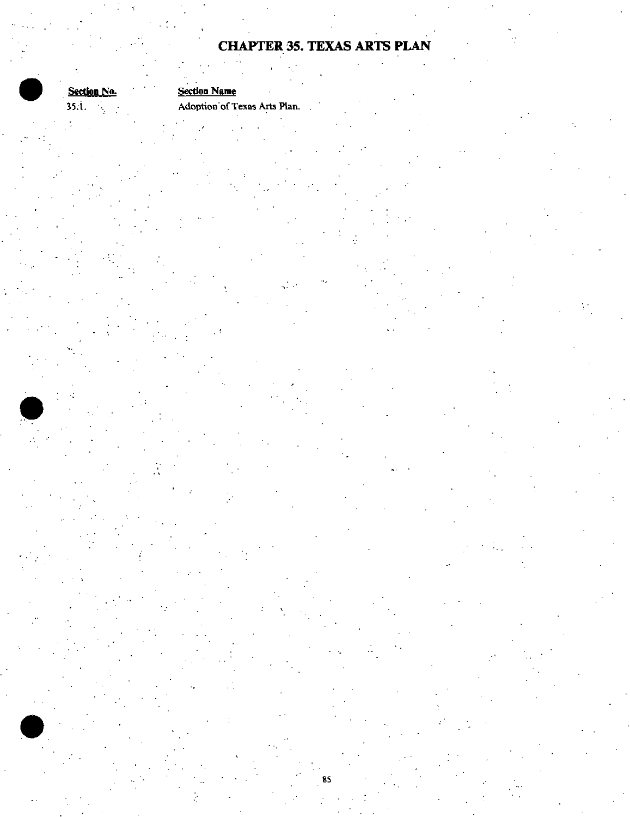# **CHAPTER 35. TEXAS ARTS PLAN**



**Section No.**  $35:1.$ 

 $\mathcal{L}_{\mathcal{A}}$ 

**Section Name** 

## Adoption of Texas Arts Plan.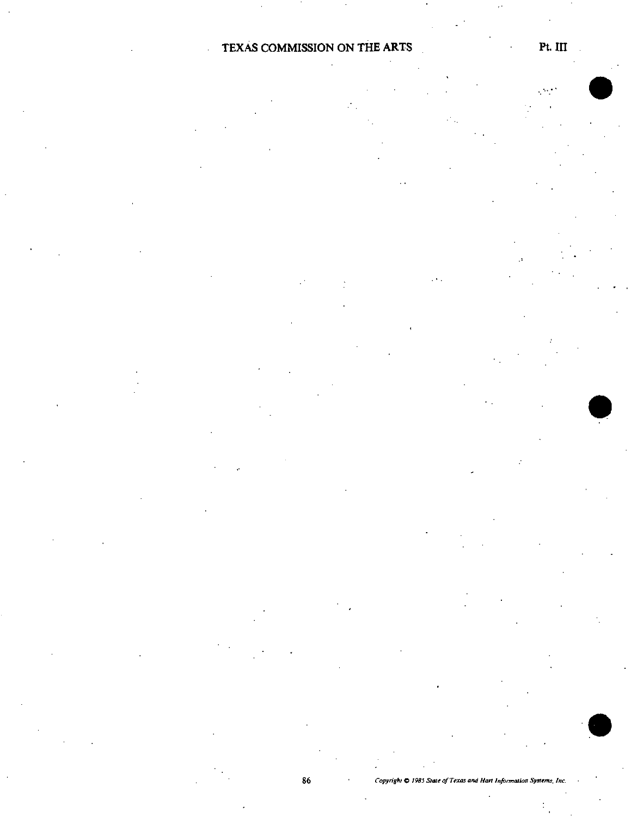$\overline{\phantom{a}}$ 

 $\sim$ 

86

Copyright @ 1985 State of Texas and Hart Information Systems, Inc.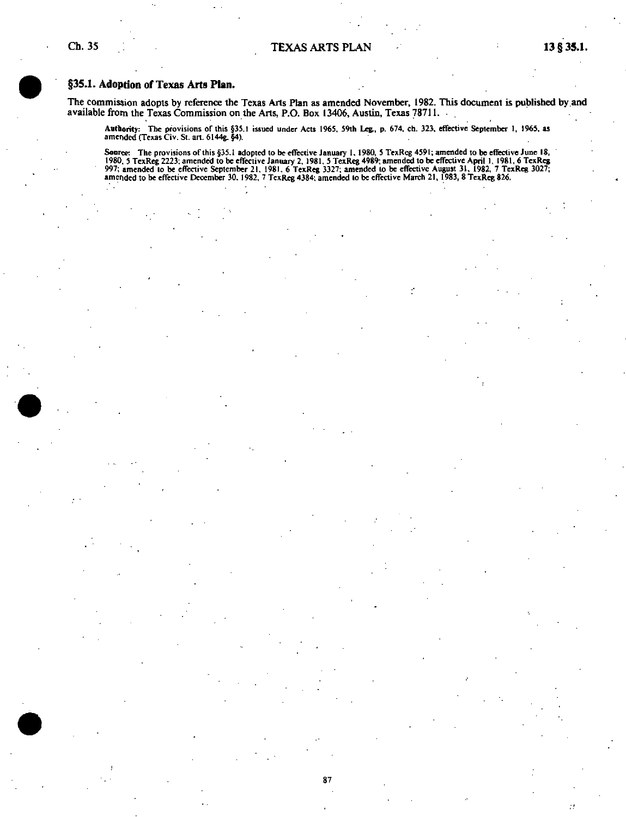### §35.1. Adoption of Texas Arts Plan.

The commission adopts by reference the Texas Arts Plan as amended November, 1982. This document is published by and available from the Texas Commission on the Arts, P.O. Box 13406, Austin, Texas 78711.

Authority: The provisions of this §35.1 issued under Acts 1965, 59th Leg., p. 674, ch. 323, effective September 1, 1965, as<br>amended (Texas Civ. St. art. 6144g. §4).

Source: The provisions of this §35.1 adopted to be effective January 1, 1980, 5 TexReg 4591; amended to be effective June 18,<br>1980, 5 TexReg 2223; amended to be effective January 2, 1981, 5 TexReg 4989; amended to be effec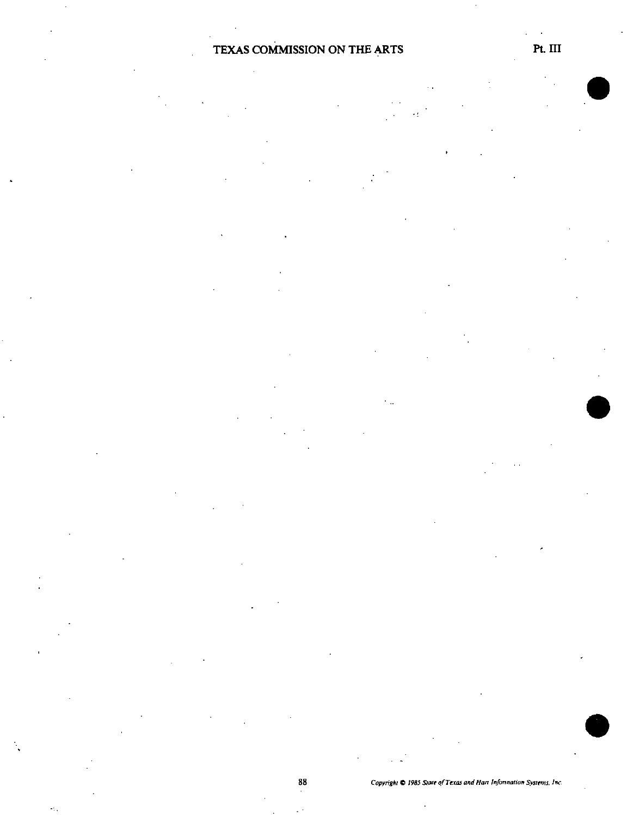# TEXAS COMMISSION ON THE ARTS

Pt. III

 $\mathcal{L}_{\mathcal{A}}$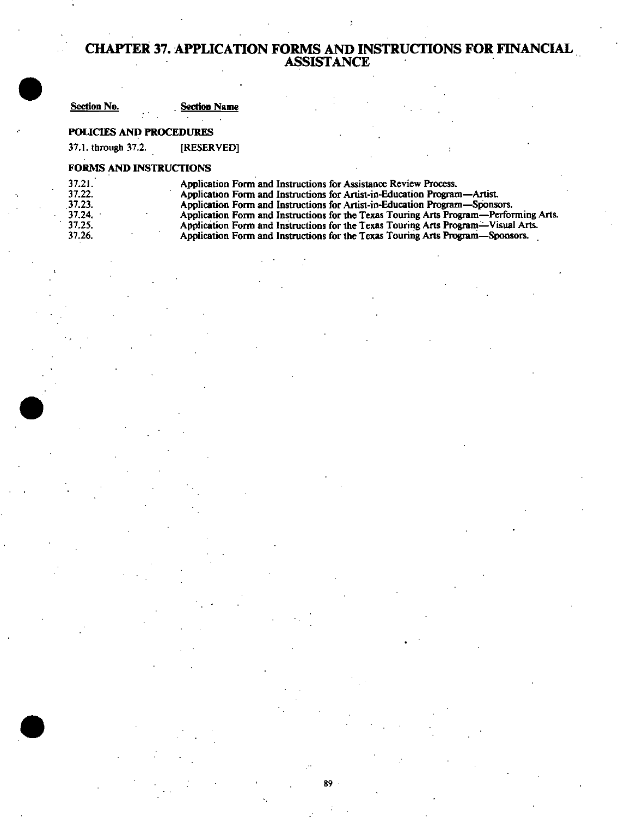# CHAPTER 37. APPLICATION FORMS AND INSTRUCTIONS FOR FINANCIAL ASSISTANCE

Section No. . . . . . . . Section Name

### POLICIES AND PROCEDURES

37.1. through 37.2. [RESERVED]

## FORMS AND INSTRUCTIONS

| 37.21. | Application Form and Instructions for Assistance Review Process.                      |
|--------|---------------------------------------------------------------------------------------|
| 37.22. | Application Form and Instructions for Artist-in-Education Program—Artist.             |
| 37.23. | Application Form and Instructions for Artist-in-Education Program-Sponsors.           |
| 37.24. | Application Form and Instructions for the Texas Touring Arts Program—Performing Arts. |
| 37.25. | Application Form and Instructions for the Texas Touring Arts Program—Visual Arts.     |
| 37.26. | Application Form and Instructions for the Texas Touring Arts Program—Sponsors.        |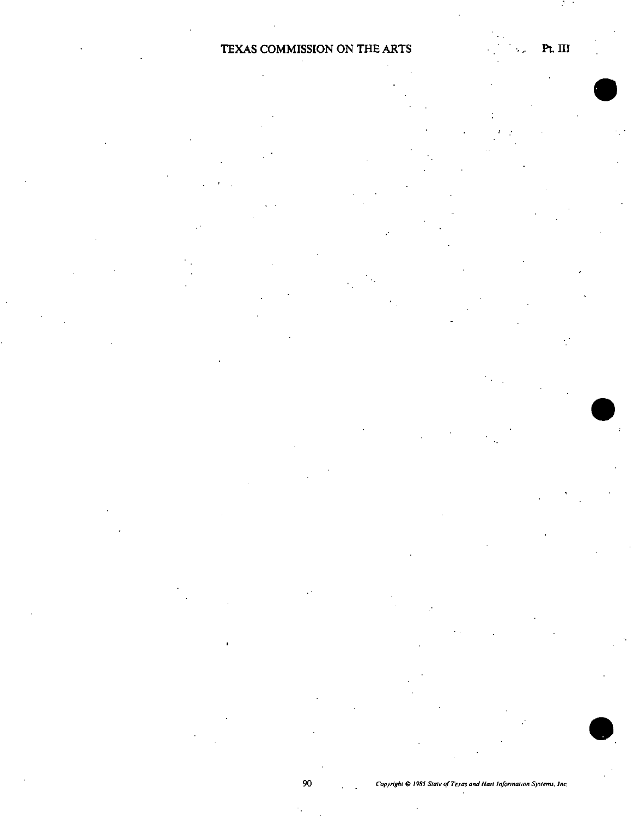## TEXAS COMMISSION ON THE ARTS

Pt. III

i, J.

90

i,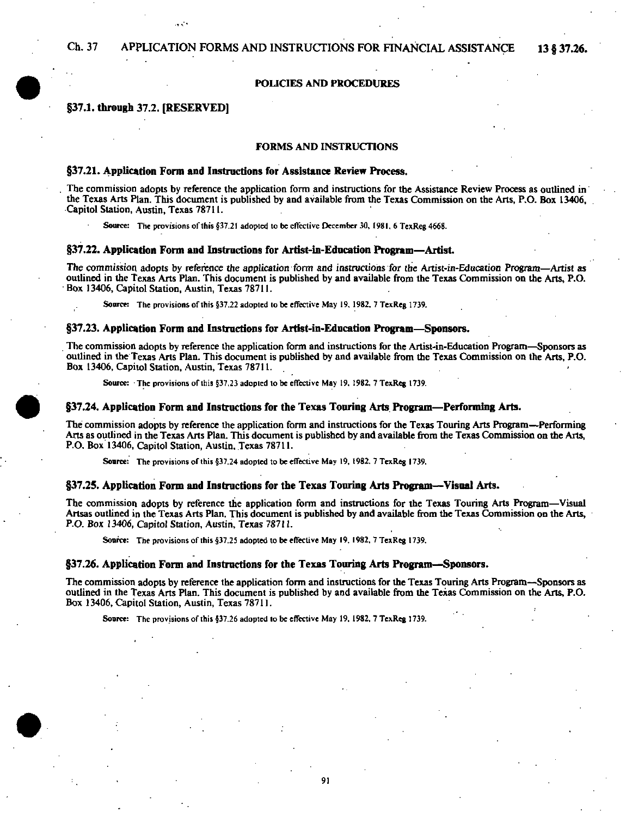### POLICIES AND PROCEDURES

### §37.1. through 37.2. [RESERVED]

#### FORMS AND INSTRUCTIONS

### §37.21. Application Form and Instructions for Assistance Review Process.

The commission adopts by reference the application form and instructions for the Assistance Review Process as outlined in the Texas Arts Plan. This document is published by and available from the Texas Commission on the Arts, P.O. Box 13406, Capitol Station, Austin, Texas 78711.

Source: The provisions of this §37.21 adopted to be effective December 30. 1981. 6 TexReg 4668.

#### §37.22. Application Form and Instmctions for Artist-in-Edacation Program—Artist.

The commission adopts by reference the application form and instructions for the Artist-in-Education Program—Artist as outlined in the Texas Arts Plan. This document is published by and available from the Texas Commission on the Arts, P.O. Box 13406, Capitol Station, Austin, Texas 78711.

Source: The provisions of this §37.22 adopted to be effective May 19, 1982, 7 TexReg 1739.

#### §37.23. Application Form and Instructions for Artist-in-Education Program—Sponsors.

The commission adopts by reference the application form and instructions for the Artist-in-Education Program—Sponsors as outlined in the Texas Arts Plan. This document is published by and available from the Texas Commission on the Arts, P.O. Box 13406, Capitol Station, Austin, Texas 78711.

Source: The provisions of this §37.23 adopied to be effective May 19, 1982, 7 TexReg 1739.

#### §37.24. Application Form and Instructions for the Texas Touring Arts Program—Performing Arts.

The commission adopts by reference the application form and instructions for the Texas Touring Arts Program—Performing Arts as outlined in the Texas Arts Plan. This document is published by and available from the Texas Commission on the Arts, P.O. Box 13406, Capitol Station, Austin, Texas 78711.

Source: The provisions of this  $$37.24$  adopted to be effective May 19, 1982. 7 TexReg 1739.

#### §37.25. Application Form and Instructions for the Texas Touring Arts Program—Visual Arts.

The commission adopts by reference the application form and instructions for the Texas Touring Arts Program—Visual Artsas outlined in the Texas Arts Plan. This document is published by and available from the Texas Commission on the Arts, P.O. Box 13406, Capitol Station, Austin, Texas 78711.

Sonrce: The provisions of this §37.23 adopted to be effective May 19. 1982, 7 TexReg 1739.

#### §37.26. Application Form and Instmctions for the Texas Touring Arts Program—Sponsors.

The commission adopts by reference the application form and instructions for the Texas Touring Arts Program—Sponsors as outlined in the Texas Arts Plan. This document is published by and available from the Texas Commission on the Arts, P.O. Box 13406, Capitol Station, Austin, Texas 78711.

The provisions of this §37.26 adopted to be effective May 19, 1982, 7 TexReg 1739.